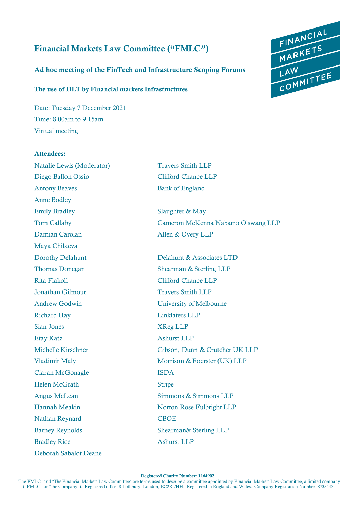# Financial Markets Law Committee ("FMLC")

## Ad hoc meeting of the FinTech and Infrastructure Scoping Forums

### The use of DLT by Financial markets Infrastructures

Date: Tuesday 7 December 2021 Time: 8.00am to 9.15am Virtual meeting



Attendees:

# Natalie Lewis (Moderator) Travers Smith LLP Diego Ballon Ossio Clifford Chance LLP Antony Beaves Bank of England Anne Bodley Emily Bradley Slaughter & May Damian Carolan Allen & Overy LLP Maya Chilaeva Dorothy Delahunt Delahunt & Associates LTD Thomas Donegan Shearman & Sterling LLP Rita Flakoll Clifford Chance LLP Jonathan Gilmour Travers Smith LLP Andrew Godwin University of Melbourne Richard Hay Linklaters LLP Sian Jones XReg LLP Etay Katz Ashurst LLP Ciaran McGonagle **ISDA** Helen McGrath Stripe Nathan Reynard CBOE Barney Reynolds Shearman & Sterling LLP Bradley Rice Ashurst LLP Deborah Sabalot Deane

Tom Callaby Cameron McKenna Nabarro Olswang LLP

Michelle Kirschner Gibson, Dunn & Crutcher UK LLP Vladimir Maly Morrison & Foerster (UK) LLP Angus McLean Simmons & Simmons LLP Hannah Meakin Norton Rose Fulbright LLP

FINANCIAL<br>MARKETS<br>LAW<br>COMMITTEE